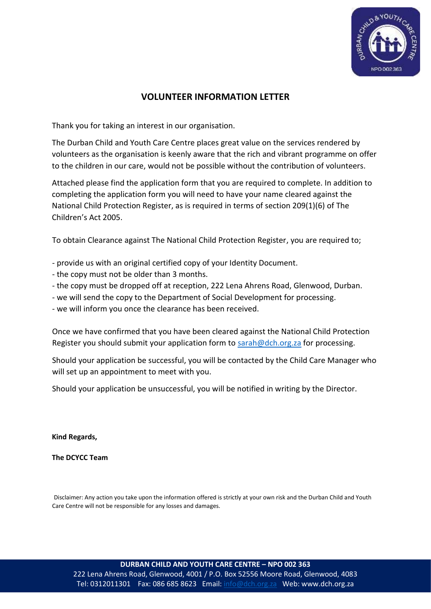

# **VOLUNTEER INFORMATION LETTER**

Thank you for taking an interest in our organisation.

The Durban Child and Youth Care Centre places great value on the services rendered by volunteers as the organisation is keenly aware that the rich and vibrant programme on offer to the children in our care, would not be possible without the contribution of volunteers.

Attached please find the application form that you are required to complete. In addition to completing the application form you will need to have your name cleared against the National Child Protection Register, as is required in terms of section 209(1)(6) of The Children's Act 2005.

To obtain Clearance against The National Child Protection Register, you are required to;

- provide us with an original certified copy of your Identity Document.
- the copy must not be older than 3 months.
- the copy must be dropped off at reception, 222 Lena Ahrens Road, Glenwood, Durban.
- we will send the copy to the Department of Social Development for processing.
- we will inform you once the clearance has been received.

Once we have confirmed that you have been cleared against the National Child Protection Register you should submit your application form to [sarah@dch.org.za](mailto:sarah@dch.org.za) for processing.

Should your application be successful, you will be contacted by the Child Care Manager who will set up an appointment to meet with you.

Should your application be unsuccessful, you will be notified in writing by the Director.

**Kind Regards,**

**The DCYCC Team** 

Disclaimer: Any action you take upon the information offered is strictly at your own risk and the Durban Child and Youth Care Centre will not be responsible for any losses and damages.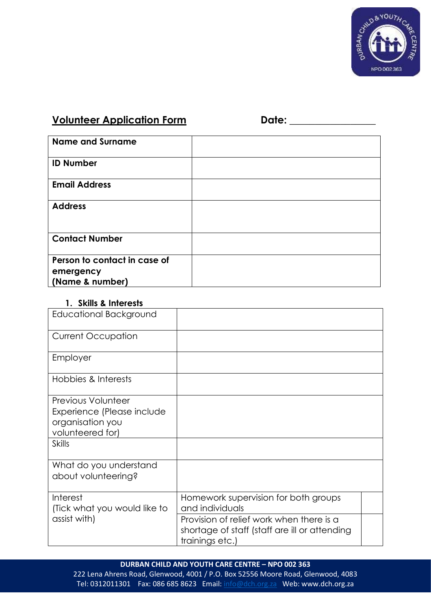

# **Volunteer Application Form Date: \_\_\_\_\_\_\_\_\_\_\_\_\_\_\_\_\_**

| <b>Name and Surname</b>      |  |
|------------------------------|--|
| <b>ID Number</b>             |  |
| <b>Email Address</b>         |  |
| <b>Address</b>               |  |
| <b>Contact Number</b>        |  |
| Person to contact in case of |  |
| emergency                    |  |
| (Name & number)              |  |

### **1. Skills & Interests**

| <b>Educational Background</b> |                                               |  |
|-------------------------------|-----------------------------------------------|--|
| <b>Current Occupation</b>     |                                               |  |
| Employer                      |                                               |  |
| Hobbies & Interests           |                                               |  |
| <b>Previous Volunteer</b>     |                                               |  |
| Experience (Please include    |                                               |  |
| organisation you              |                                               |  |
| volunteered for)              |                                               |  |
| <b>Skills</b>                 |                                               |  |
| What do you understand        |                                               |  |
| about volunteering?           |                                               |  |
| Interest                      | Homework supervision for both groups          |  |
| (Tick what you would like to  | and individuals                               |  |
| assist with)                  | Provision of relief work when there is a      |  |
|                               | shortage of staff (staff are ill or attending |  |
|                               | trainings etc.)                               |  |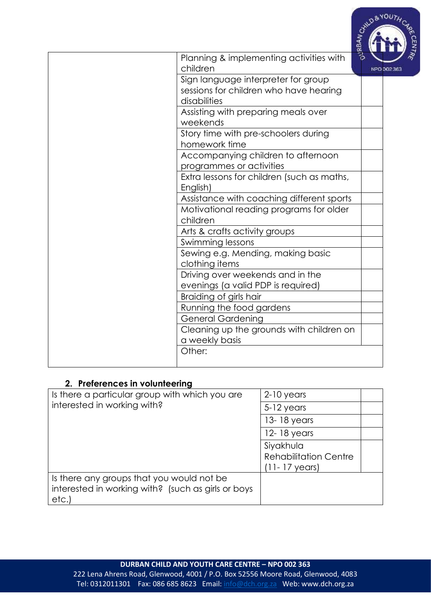

| Planning & implementing activities with    | 3                |
|--------------------------------------------|------------------|
| children                                   | NPO <sub>5</sub> |
| Sign language interpreter for group        |                  |
| sessions for children who have hearing     |                  |
| disabilities                               |                  |
| Assisting with preparing meals over        |                  |
| weekends                                   |                  |
| Story time with pre-schoolers during       |                  |
| homework time                              |                  |
| Accompanying children to afternoon         |                  |
| programmes or activities                   |                  |
| Extra lessons for children (such as maths, |                  |
| English)                                   |                  |
| Assistance with coaching different sports  |                  |
| Motivational reading programs for older    |                  |
| children                                   |                  |
| Arts & crafts activity groups              |                  |
| Swimming lessons                           |                  |
| Sewing e.g. Mending, making basic          |                  |
| clothing items                             |                  |
| Driving over weekends and in the           |                  |
| evenings (a valid PDP is required)         |                  |
| Braiding of girls hair                     |                  |
| Running the food gardens                   |                  |
| <b>General Gardening</b>                   |                  |
| Cleaning up the grounds with children on   |                  |
| a weekly basis                             |                  |
| Other:                                     |                  |
|                                            |                  |

# **2. Preferences in volunteering**

| Is there a particular group with which you are                                                          | $2-10$ years                              |  |  |
|---------------------------------------------------------------------------------------------------------|-------------------------------------------|--|--|
| interested in working with?                                                                             | $5-12$ years                              |  |  |
|                                                                                                         | 13-18 years                               |  |  |
|                                                                                                         | 12-18 years                               |  |  |
|                                                                                                         | Siyakhula<br><b>Rehabilitation Centre</b> |  |  |
|                                                                                                         | $(11 - 17$ years)                         |  |  |
| Is there any groups that you would not be<br>interested in working with? (such as girls or boys<br>etc. |                                           |  |  |
|                                                                                                         |                                           |  |  |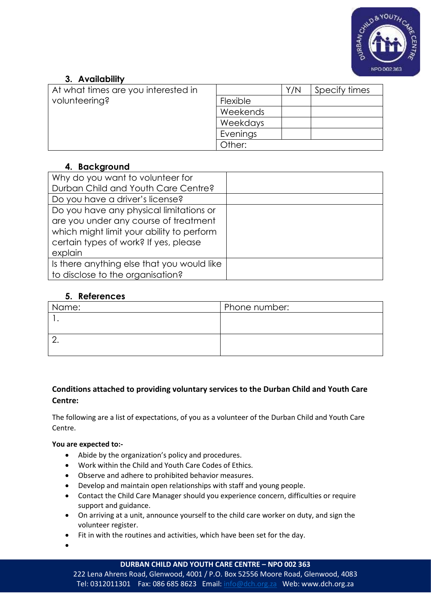

# **3. Availability**

| At what times are you interested in |          | Y/N | Specify times |
|-------------------------------------|----------|-----|---------------|
| volunteering?                       | Flexible |     |               |
|                                     | Weekends |     |               |
|                                     | Weekdays |     |               |
|                                     | Evenings |     |               |
|                                     | Other:   |     |               |

# **4. Background**

| Why do you want to volunteer for           |  |
|--------------------------------------------|--|
| Durban Child and Youth Care Centre?        |  |
| Do you have a driver's license?            |  |
| Do you have any physical limitations or    |  |
| are you under any course of treatment      |  |
| which might limit your ability to perform  |  |
| certain types of work? If yes, please      |  |
| explain                                    |  |
| Is there anything else that you would like |  |
| to disclose to the organisation?           |  |

### **5. References**

| Name: | Phone number: |
|-------|---------------|
|       |               |
|       |               |
|       |               |
|       |               |

### **Conditions attached to providing voluntary services to the Durban Child and Youth Care Centre:**

The following are a list of expectations, of you as a volunteer of the Durban Child and Youth Care Centre.

#### **You are expected to:-**

- Abide by the organization's policy and procedures.
- Work within the Child and Youth Care Codes of Ethics.
- Observe and adhere to prohibited behavior measures.
- Develop and maintain open relationships with staff and young people.
- Contact the Child Care Manager should you experience concern, difficulties or require support and guidance.
- On arriving at a unit, announce yourself to the child care worker on duty, and sign the volunteer register.
- Fit in with the routines and activities, which have been set for the day.
- •